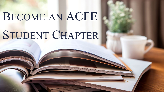# BECOME AN ACFE STUDENT CHAPTER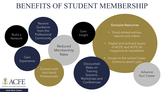## BENEFITS OF STUDENT MEMBERSHIP



**South Africa Chapter**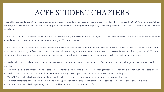# ACFE STUDENT CHAPTERS

The ACFE is the world's largest anti-fraud organisation and premier provider of anti-fraud training and education. Together with more than 85,000 members, the ACFE is reducing business fraud worldwide and inspiring public confidence in the integrity and objectivity within the profession. The ACFE has more than 185 Chapters worldwide.

The ACFE SA Chapter is a recognised South African professional body, representing and governing fraud examination professionals in South Africa. The ACFE SA is extending its resources to assist universities in establishing ACFE Student Chapters.

The ACFE's mission is to create anti-fraud awareness and provide training on how to fight fraud and white-collar crime. We aim to create awareness, not only in the industry amongst working professionals, but also to students who are aiming to pursue a career in the anti-fraud profession. As a student, belonging to an ACFE Student Chapter will give you an opportunity to receive training and learn more about the industry, as well as equip you with skills to create awareness yourself.

• Student chapters provide students opportunities to meet practitioners and interact with anti-fraud professionals, and can be the bridge between academia and practice.

- The main objective is to introduce fraud-related topics to members and students and get the younger generation interested and excited about fraud-related careers.
- Students can host events and drive anti-fraud awareness campaigns on campus (the ACFE SA can assist with speakers and topics).
- The ACFE International will formally recognise the student chapter and will list them as one of the student chapters on their website.
- Student Chapters are provided with a complimentary pull-up banner with the chapter name that can be displayed for awareness drives and/or at events.
- The ACFE International will ship catalogs, resources and brochures to assist the promotion of the ACFE.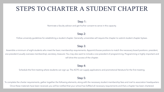## STEPS TO CHARTER A STUDENT CHAPTER

#### Step 1:

Nominate a faculty advisor and get his/her consent to serve in this capacity.

#### Step 2:

Follow university guidelines for establishing a student chapter. Generally, universities will require the chapter to submit student chapter bylaws.

#### Step 3:

Assemble a minimum of eight students who meet the basic membership requirements. Appoint/choose positions to match the necessary board positions: president, vice president (usually oversees membership), secretary, treasurer. You may also want to include a vice president of programming. Programming is highly important and will drive the success of the chapter.

#### Step 4:

Schedule the first meeting where students can sign up. The ACFE can supply applications and promotional literature for the first meeting.

#### Step 5:

To complete the charter requirements, gather together the following elements, along with the necessary student membership fees and mail to association headquarters. Once these materials have been received, you will be notified that your school has fulfilled all necessary requirements and that a chapter has been chartered.